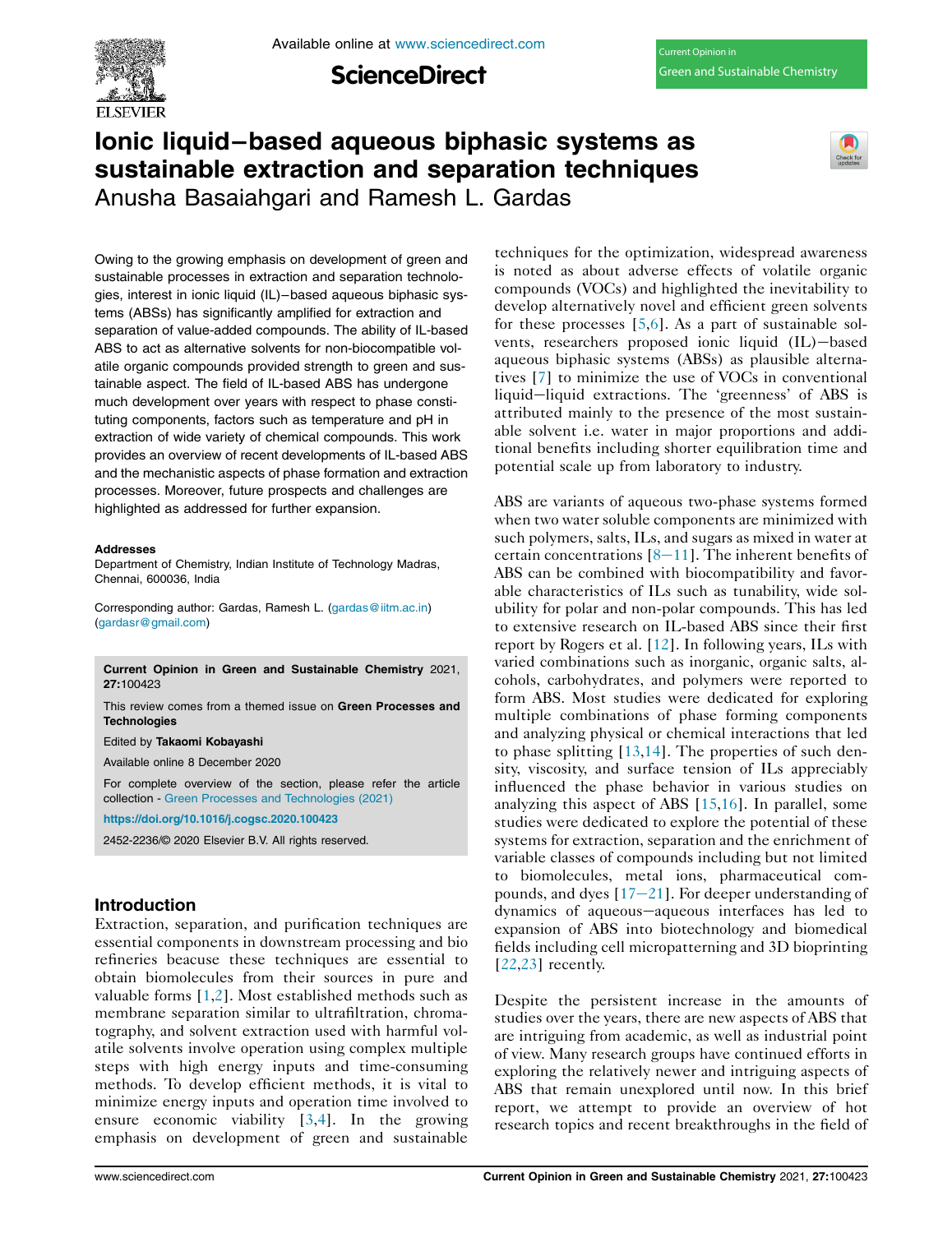Available online at www.sciencedirect.com

**ScienceDirect** 

# Ionic liquid–based aqueous biphasic systems as sustainable extraction and separation techniques Anusha Basaiahgari and Ramesh L. Gardas



Owing to the growing emphasis on development of green and sustainable processes in extraction and separation technologies, interest in ionic liquid (IL)–based aqueous biphasic systems (ABSs) has significantly amplified for extraction and separation of value-added compounds. The ability of IL-based ABS to act as alternative solvents for non-biocompatible volatile organic compounds provided strength to green and sustainable aspect. The field of IL-based ABS has undergone much development over years with respect to phase constituting components, factors such as temperature and pH in extraction of wide variety of chemical compounds. This work provides an overview of recent developments of IL-based ABS and the mechanistic aspects of phase formation and extraction processes. Moreover, future prospects and challenges are highlighted as addressed for further expansion.

#### Addresses

Department of Chemistry, Indian Institute of Technology Madras, Chennai, 600036, India

Corresponding author: Gardas, Ramesh L. (gardas@iitm.ac.in) (gardasr@gmail.com)

Current Opinion in Green and Sustainable Chemistry 2021, 27:100423

This review comes from a themed issue on Green Processes and **Technologies** 

Edited by Takaomi Kobayashi

Available online 8 December 2020

For complete overview of the section, please refer the article collection - Green Processes and Technologies (2021)

https://doi.org/10.1016/j.cogsc.2020.100423

2452-2236/© 2020 Elsevier B.V. All rights reserved.

## Introduction

Extraction, separation, and purification techniques are essential components in downstream processing and bio refineries beacuse these techniques are essential to obtain biomolecules from their sources in pure and valuable forms [1,2]. Most established methods such as membrane separation similar to ultrafiltration, chromatography, and solvent extraction used with harmful volatile solvents involve operation using complex multiple steps with high energy inputs and time-consuming methods. To develop efficient methods, it is vital to minimize energy inputs and operation time involved to ensure economic viability [3,4]. In the growing emphasis on development of green and sustainable

techniques for the optimization, widespread awareness is noted as about adverse effects of volatile organic compounds (VOCs) and highlighted the inevitability to develop alternatively novel and efficient green solvents for these processes  $[5,6]$ . As a part of sustainable solvents, researchers proposed ionic liquid (IL)-based aqueous biphasic systems (ABSs) as plausible alternatives [7] to minimize the use of VOCs in conventional liquid-liquid extractions. The 'greenness' of ABS is attributed mainly to the presence of the most sustainable solvent i.e. water in major proportions and additional benefits including shorter equilibration time and potential scale up from laboratory to industry.

ABS are variants of aqueous two-phase systems formed when two water soluble components are minimized with such polymers, salts, ILs, and sugars as mixed in water at certain concentrations  $[8-11]$ . The inherent benefits of ABS can be combined with biocompatibility and favorable characteristics of ILs such as tunability, wide solubility for polar and non-polar compounds. This has led to extensive research on IL-based ABS since their first report by Rogers et al. [12]. In following years, ILs with varied combinations such as inorganic, organic salts, alcohols, carbohydrates, and polymers were reported to form ABS. Most studies were dedicated for exploring multiple combinations of phase forming components and analyzing physical or chemical interactions that led to phase splitting  $[13,14]$ . The properties of such density, viscosity, and surface tension of ILs appreciably influenced the phase behavior in various studies on analyzing this aspect of ABS [15,16]. In parallel, some studies were dedicated to explore the potential of these systems for extraction, separation and the enrichment of variable classes of compounds including but not limited to biomolecules, metal ions, pharmaceutical compounds, and dyes  $[17-21]$ . For deeper understanding of dynamics of aqueous-aqueous interfaces has led to expansion of ABS into biotechnology and biomedical fields including cell micropatterning and 3D bioprinting  $[22,23]$  recently.

Despite the persistent increase in the amounts of studies over the years, there are new aspects of ABS that are intriguing from academic, as well as industrial point of view. Many research groups have continued efforts in exploring the relatively newer and intriguing aspects of ABS that remain unexplored until now. In this brief report, we attempt to provide an overview of hot research topics and recent breakthroughs in the field of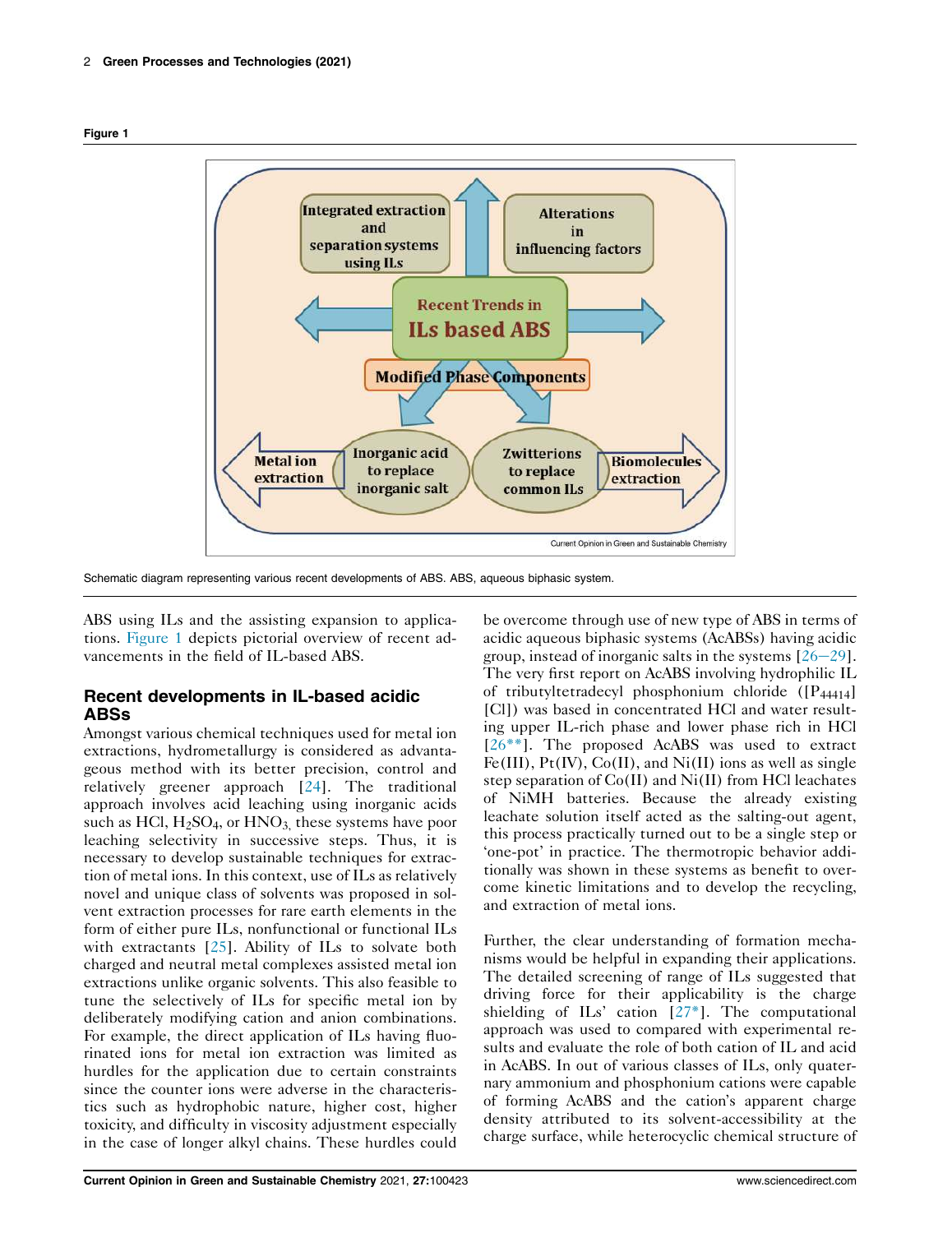



Schematic diagram representing various recent developments of ABS. ABS, aqueous biphasic system.

ABS using ILs and the assisting expansion to applications. Figure 1 depicts pictorial overview of recent advancements in the field of IL-based ABS.

### Recent developments in IL-based acidic ABSs

Amongst various chemical techniques used for metal ion extractions, hydrometallurgy is considered as advantageous method with its better precision, control and relatively greener approach [24]. The traditional approach involves acid leaching using inorganic acids such as HCl,  $H_2SO_4$ , or  $HNO_3$ , these systems have poor leaching selectivity in successive steps. Thus, it is necessary to develop sustainable techniques for extraction of metal ions. In this context, use of ILs as relatively novel and unique class of solvents was proposed in solvent extraction processes for rare earth elements in the form of either pure ILs, nonfunctional or functional ILs with extractants [25]. Ability of ILs to solvate both charged and neutral metal complexes assisted metal ion extractions unlike organic solvents. This also feasible to tune the selectively of ILs for specific metal ion by deliberately modifying cation and anion combinations. For example, the direct application of ILs having fluorinated ions for metal ion extraction was limited as hurdles for the application due to certain constraints since the counter ions were adverse in the characteristics such as hydrophobic nature, higher cost, higher toxicity, and difficulty in viscosity adjustment especially in the case of longer alkyl chains. These hurdles could

be overcome through use of new type of ABS in terms of acidic aqueous biphasic systems (AcABSs) having acidic group, instead of inorganic salts in the systems  $[26-29]$ . The very first report on AcABS involving hydrophilic IL of tributyltetradecyl phosphonium chloride  $([P_{44414}]$ [Cl]) was based in concentrated HCl and water resulting upper IL-rich phase and lower phase rich in HCl  $[26^{**}]$ . The proposed AcABS was used to extract Fe(III),  $Pt(IV)$ ,  $Co(II)$ , and  $Ni(II)$  ions as well as single step separation of Co(II) and Ni(II) from HCl leachates of NiMH batteries. Because the already existing leachate solution itself acted as the salting-out agent, this process practically turned out to be a single step or 'one-pot' in practice. The thermotropic behavior additionally was shown in these systems as benefit to overcome kinetic limitations and to develop the recycling, and extraction of metal ions.

Further, the clear understanding of formation mechanisms would be helpful in expanding their applications. The detailed screening of range of ILs suggested that driving force for their applicability is the charge shielding of ILs' cation [27\*]. The computational approach was used to compared with experimental results and evaluate the role of both cation of IL and acid in AcABS. In out of various classes of ILs, only quaternary ammonium and phosphonium cations were capable of forming AcABS and the cation's apparent charge density attributed to its solvent-accessibility at the charge surface, while heterocyclic chemical structure of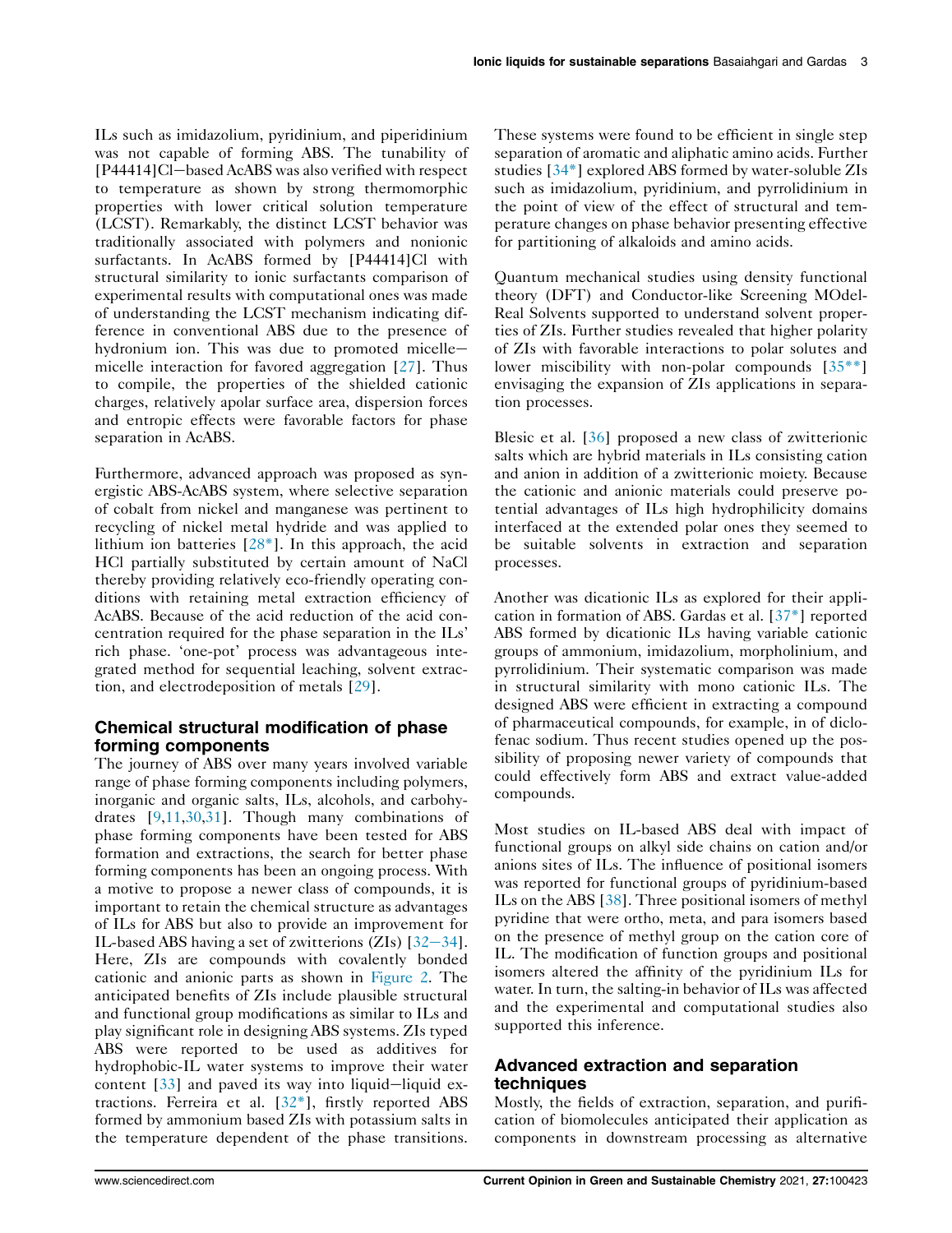ILs such as imidazolium, pyridinium, and piperidinium was not capable of forming ABS. The tunability of  $[P44414]$ Cl-based AcABS was also verified with respect to temperature as shown by strong thermomorphic properties with lower critical solution temperature (LCST). Remarkably, the distinct LCST behavior was traditionally associated with polymers and nonionic surfactants. In AcABS formed by [P44414]Cl with structural similarity to ionic surfactants comparison of experimental results with computational ones was made of understanding the LCST mechanism indicating difference in conventional ABS due to the presence of hydronium ion. This was due to promoted micelle $$ micelle interaction for favored aggregation [27]. Thus to compile, the properties of the shielded cationic charges, relatively apolar surface area, dispersion forces and entropic effects were favorable factors for phase separation in AcABS.

Furthermore, advanced approach was proposed as synergistic ABS-AcABS system, where selective separation of cobalt from nickel and manganese was pertinent to recycling of nickel metal hydride and was applied to lithium ion batteries [28\*]. In this approach, the acid HCl partially substituted by certain amount of NaCl thereby providing relatively eco-friendly operating conditions with retaining metal extraction efficiency of AcABS. Because of the acid reduction of the acid concentration required for the phase separation in the ILs' rich phase. 'one-pot' process was advantageous integrated method for sequential leaching, solvent extraction, and electrodeposition of metals [29].

### Chemical structural modification of phase forming components

The journey of ABS over many years involved variable range of phase forming components including polymers, inorganic and organic salts, ILs, alcohols, and carbohydrates [9,11,30,31]. Though many combinations of phase forming components have been tested for ABS formation and extractions, the search for better phase forming components has been an ongoing process. With a motive to propose a newer class of compounds, it is important to retain the chemical structure as advantages of ILs for ABS but also to provide an improvement for IL-based ABS having a set of zwitterions  $(ZIs)$  [32-34]. Here, ZIs are compounds with covalently bonded cationic and anionic parts as shown in Figure 2. The anticipated benefits of ZIs include plausible structural and functional group modifications as similar to ILs and play significant role in designing ABS systems. ZIs typed ABS were reported to be used as additives for hydrophobic-IL water systems to improve their water content  $[33]$  and paved its way into liquid-liquid extractions. Ferreira et al.  $[32^*]$ , firstly reported ABS formed by ammonium based ZIs with potassium salts in the temperature dependent of the phase transitions.

These systems were found to be efficient in single step separation of aromatic and aliphatic amino acids. Further studies [34\*] explored ABS formed by water-soluble ZIs such as imidazolium, pyridinium, and pyrrolidinium in the point of view of the effect of structural and temperature changes on phase behavior presenting effective for partitioning of alkaloids and amino acids.

Quantum mechanical studies using density functional theory (DFT) and Conductor-like Screening MOdel-Real Solvents supported to understand solvent properties of ZIs. Further studies revealed that higher polarity of ZIs with favorable interactions to polar solutes and lower miscibility with non-polar compounds [35<sup>\*\*</sup>] envisaging the expansion of ZIs applications in separation processes.

Blesic et al. [36] proposed a new class of zwitterionic salts which are hybrid materials in ILs consisting cation and anion in addition of a zwitterionic moiety. Because the cationic and anionic materials could preserve potential advantages of ILs high hydrophilicity domains interfaced at the extended polar ones they seemed to be suitable solvents in extraction and separation processes.

Another was dicationic ILs as explored for their application in formation of ABS. Gardas et al. [37\*] reported ABS formed by dicationic ILs having variable cationic groups of ammonium, imidazolium, morpholinium, and pyrrolidinium. Their systematic comparison was made in structural similarity with mono cationic ILs. The designed ABS were efficient in extracting a compound of pharmaceutical compounds, for example, in of diclofenac sodium. Thus recent studies opened up the possibility of proposing newer variety of compounds that could effectively form ABS and extract value-added compounds.

Most studies on IL-based ABS deal with impact of functional groups on alkyl side chains on cation and/or anions sites of ILs. The influence of positional isomers was reported for functional groups of pyridinium-based ILs on the ABS [38]. Three positional isomers of methyl pyridine that were ortho, meta, and para isomers based on the presence of methyl group on the cation core of IL. The modification of function groups and positional isomers altered the affinity of the pyridinium ILs for water. In turn, the salting-in behavior of ILs was affected and the experimental and computational studies also supported this inference.

### Advanced extraction and separation techniques

Mostly, the fields of extraction, separation, and purification of biomolecules anticipated their application as components in downstream processing as alternative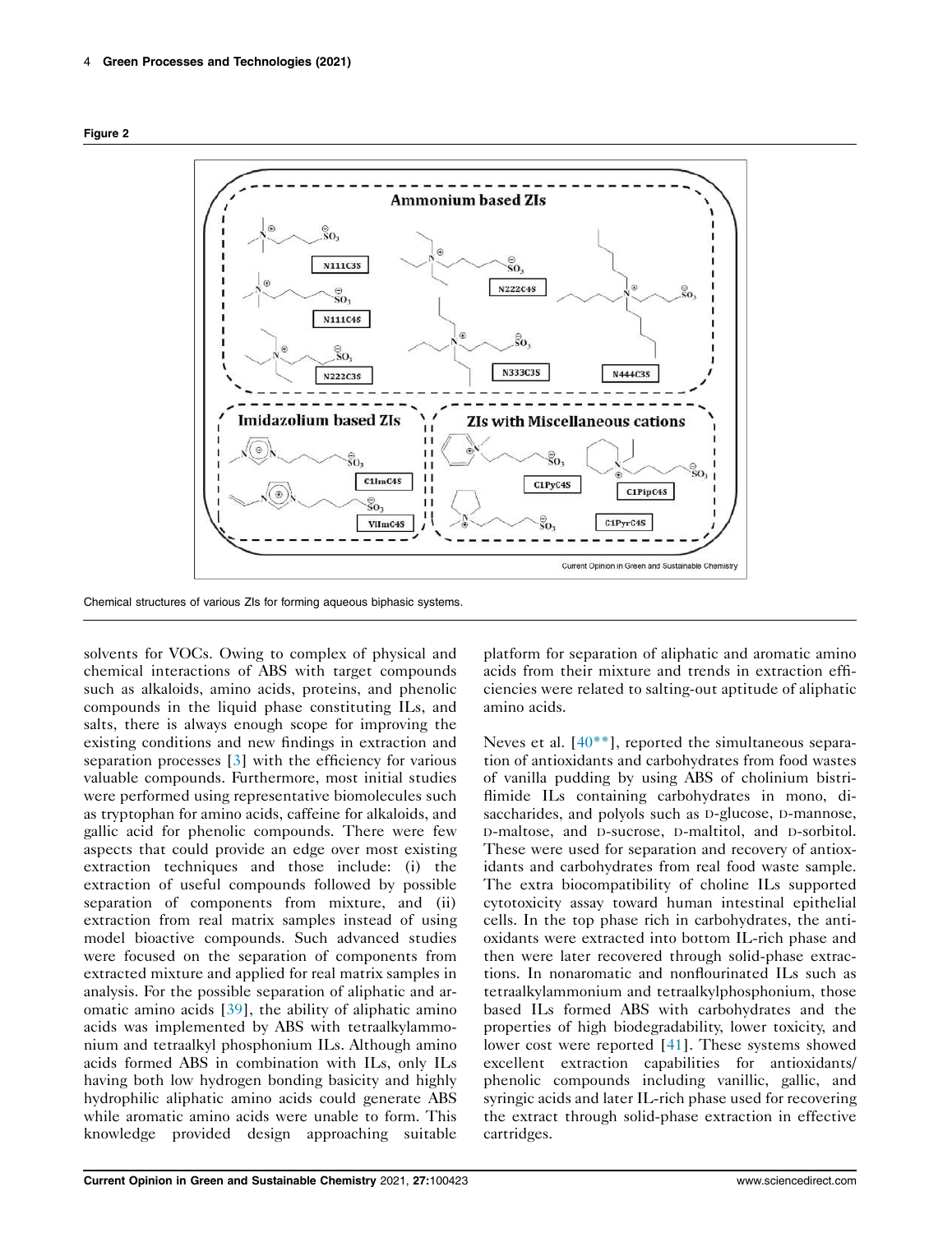



Chemical structures of various ZIs for forming aqueous biphasic systems.

solvents for VOCs. Owing to complex of physical and chemical interactions of ABS with target compounds such as alkaloids, amino acids, proteins, and phenolic compounds in the liquid phase constituting ILs, and salts, there is always enough scope for improving the existing conditions and new findings in extraction and separation processes [3] with the efficiency for various valuable compounds. Furthermore, most initial studies were performed using representative biomolecules such as tryptophan for amino acids, caffeine for alkaloids, and gallic acid for phenolic compounds. There were few aspects that could provide an edge over most existing extraction techniques and those include: (i) the extraction of useful compounds followed by possible separation of components from mixture, and (ii) extraction from real matrix samples instead of using model bioactive compounds. Such advanced studies were focused on the separation of components from extracted mixture and applied for real matrix samples in analysis. For the possible separation of aliphatic and aromatic amino acids [39], the ability of aliphatic amino acids was implemented by ABS with tetraalkylammonium and tetraalkyl phosphonium ILs. Although amino acids formed ABS in combination with ILs, only ILs having both low hydrogen bonding basicity and highly hydrophilic aliphatic amino acids could generate ABS while aromatic amino acids were unable to form. This knowledge provided design approaching suitable

platform for separation of aliphatic and aromatic amino acids from their mixture and trends in extraction efficiencies were related to salting-out aptitude of aliphatic amino acids.

Neves et al. [40<sup>\*\*</sup>], reported the simultaneous separation of antioxidants and carbohydrates from food wastes of vanilla pudding by using ABS of cholinium bistriflimide ILs containing carbohydrates in mono, disaccharides, and polyols such as <sup>D</sup>-glucose, <sup>D</sup>-mannose, <sup>D</sup>-maltose, and <sup>D</sup>-sucrose, <sup>D</sup>-maltitol, and <sup>D</sup>-sorbitol. These were used for separation and recovery of antioxidants and carbohydrates from real food waste sample. The extra biocompatibility of choline ILs supported cytotoxicity assay toward human intestinal epithelial cells. In the top phase rich in carbohydrates, the antioxidants were extracted into bottom IL-rich phase and then were later recovered through solid-phase extractions. In nonaromatic and nonflourinated ILs such as tetraalkylammonium and tetraalkylphosphonium, those based ILs formed ABS with carbohydrates and the properties of high biodegradability, lower toxicity, and lower cost were reported [41]. These systems showed excellent extraction capabilities for antioxidants/ phenolic compounds including vanillic, gallic, and syringic acids and later IL-rich phase used for recovering the extract through solid-phase extraction in effective cartridges.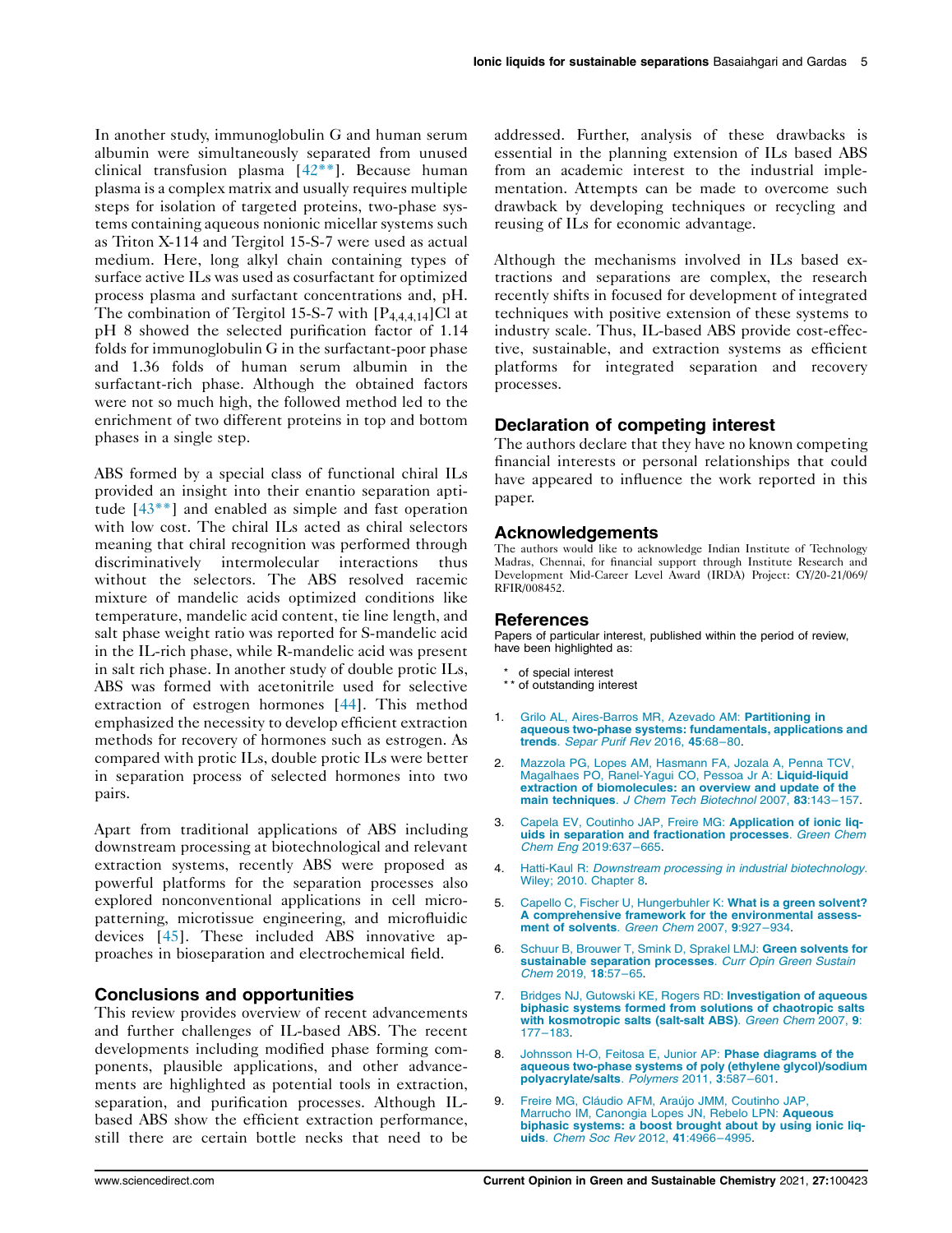In another study, immunoglobulin G and human serum albumin were simultaneously separated from unused clinical transfusion plasma [42\*\*]. Because human plasma is a complex matrix and usually requires multiple steps for isolation of targeted proteins, two-phase systems containing aqueous nonionic micellar systems such as Triton X-114 and Tergitol 15-S-7 were used as actual medium. Here, long alkyl chain containing types of surface active ILs was used as cosurfactant for optimized process plasma and surfactant concentrations and, pH. The combination of Tergitol 15-S-7 with  $[P_{4,4,4,14}]$ Cl at pH 8 showed the selected purification factor of 1.14 folds for immunoglobulin G in the surfactant-poor phase and 1.36 folds of human serum albumin in the surfactant-rich phase. Although the obtained factors were not so much high, the followed method led to the enrichment of two different proteins in top and bottom phases in a single step.

ABS formed by a special class of functional chiral ILs provided an insight into their enantio separation aptitude [43\*\*] and enabled as simple and fast operation with low cost. The chiral ILs acted as chiral selectors meaning that chiral recognition was performed through discriminatively intermolecular interactions thus without the selectors. The ABS resolved racemic mixture of mandelic acids optimized conditions like temperature, mandelic acid content, tie line length, and salt phase weight ratio was reported for S-mandelic acid in the IL-rich phase, while R-mandelic acid was present in salt rich phase. In another study of double protic ILs, ABS was formed with acetonitrile used for selective extraction of estrogen hormones [44]. This method emphasized the necessity to develop efficient extraction methods for recovery of hormones such as estrogen. As compared with protic ILs, double protic ILs were better in separation process of selected hormones into two pairs.

Apart from traditional applications of ABS including downstream processing at biotechnological and relevant extraction systems, recently ABS were proposed as powerful platforms for the separation processes also explored nonconventional applications in cell micropatterning, microtissue engineering, and microfluidic devices [45]. These included ABS innovative approaches in bioseparation and electrochemical field.

#### Conclusions and opportunities

This review provides overview of recent advancements and further challenges of IL-based ABS. The recent developments including modified phase forming components, plausible applications, and other advancements are highlighted as potential tools in extraction, separation, and purification processes. Although ILbased ABS show the efficient extraction performance, still there are certain bottle necks that need to be

addressed. Further, analysis of these drawbacks is essential in the planning extension of ILs based ABS from an academic interest to the industrial implementation. Attempts can be made to overcome such drawback by developing techniques or recycling and reusing of ILs for economic advantage.

Although the mechanisms involved in ILs based extractions and separations are complex, the research recently shifts in focused for development of integrated techniques with positive extension of these systems to industry scale. Thus, IL-based ABS provide cost-effective, sustainable, and extraction systems as efficient platforms for integrated separation and recovery processes.

#### Declaration of competing interest

The authors declare that they have no known competing financial interests or personal relationships that could have appeared to influence the work reported in this paper.

#### Acknowledgements

The authors would like to acknowledge Indian Institute of Technology Madras, Chennai, for financial support through Institute Research and Development Mid-Career Level Award (IRDA) Project: CY/20-21/069/ RFIR/008452.

#### References

Papers of particular interest, published within the period of review, have been highlighted as:

- of special interest
- \*\* of outstanding interest
- 1. Grilo AL, Aires-Barros MR, Azevado AM: Partitioning in aqueous two-phase systems: fundamentals, applications and trends. Separ Purif Rev 2016, 45:68–80.
- 2. Mazzola PG, Lopes AM, Hasmann FA, Jozala A, Penna TCV, Magalhaes PO, Ranel-Yagui CO, Pessoa Jr A: Liquid-liquid extraction of biomolecules: an overview and update of the main techniques. J Chem Tech Biotechnol 2007, 83:143-157.
- 3. Capela EV, Coutinho JAP, Freire MG: Application of ionic liquids in separation and fractionation processes. Green Chem Chem Eng 2019:637–665.
- 4. Hatti-Kaul R: Downstream processing in industrial biotechnology. Wiley; 2010. Chapter 8.
- 5. Capello C, Fischer U, Hungerbuhler K: What is a green solvent? A comprehensive framework for the environmental assessment of solvents. Green Chem 2007, 9:927–934.
- 6. Schuur B, Brouwer T, Smink D, Sprakel LMJ: Green solvents for sustainable separation processes. Curr Opin Green Sustain Chem 2019, 18:57–65.
- 7. Bridges NJ, Gutowski KE, Rogers RD: Investigation of aqueous biphasic systems formed from solutions of chaotropic salts with kosmotropic salts (salt-salt ABS). Green Chem 2007, 9: 177–183.
- 8. Johnsson H-O, Feitosa E, Junior AP: Phase diagrams of the aqueous two-phase systems of poly (ethylene glycol)/sodium polyacrylate/salts. Polymers 2011, 3:587–601.
- 9. Freire MG, Cláudio AFM, Araújo JMM, Coutinho JAP, Marrucho IM, Canongia Lopes JN, Rebelo LPN: Aqueous biphasic systems: a boost brought about by using ionic liquids. Chem Soc Rev 2012, 41:4966–4995.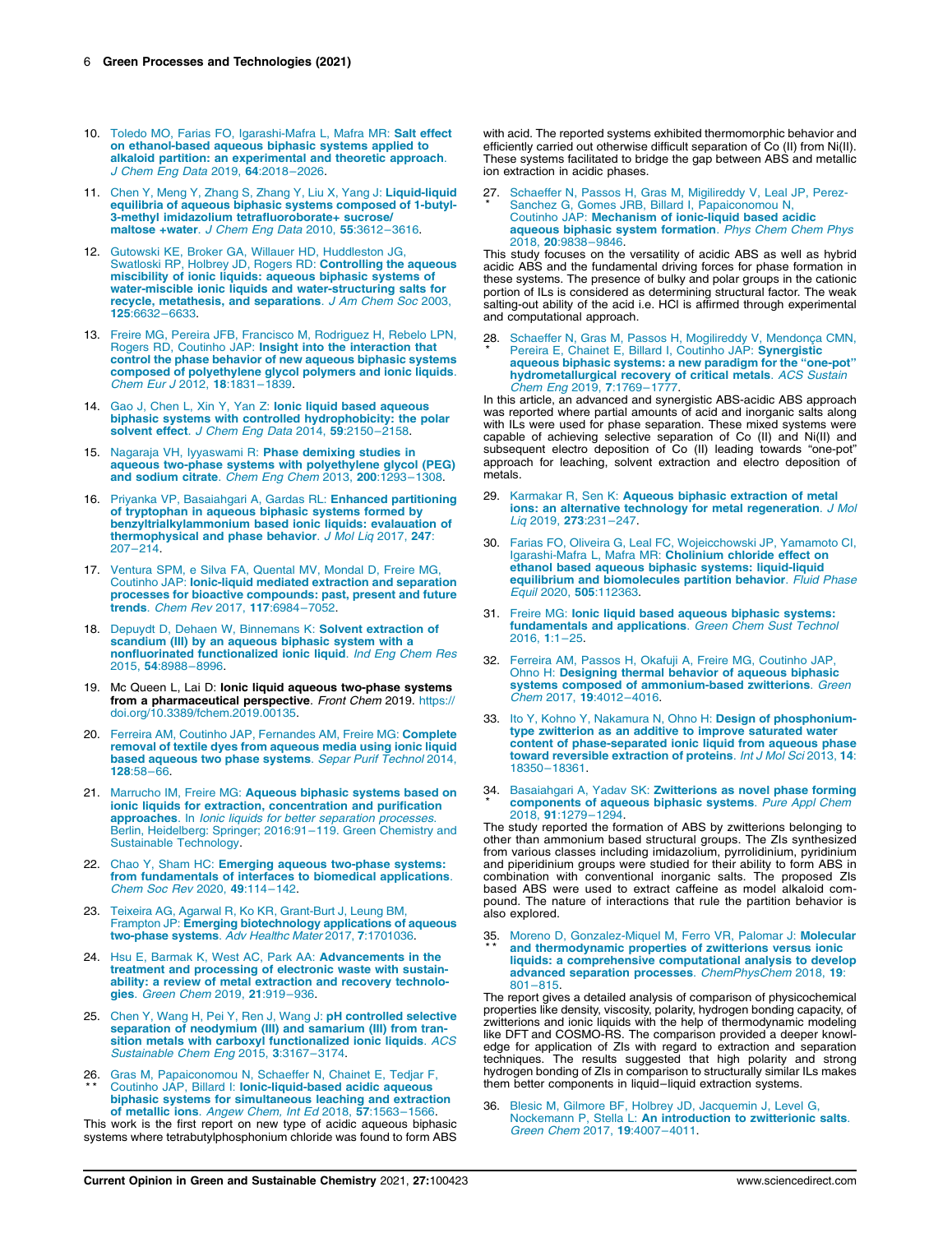- 10. Toledo MO, Farias FO, Igarashi-Mafra L, Mafra MR: Salt effect on ethanol-based aqueous biphasic systems applied to alkaloid partition: an experimental and theoretic approach. J Chem Eng Data 2019, 64:2018–2026.
- 11. Chen Y, Meng Y, Zhang S, Zhang Y, Liu X, Yang J: Liquid-liquid equilibria of aqueous biphasic systems composed of 1-butyl-3-methyl imidazolium tetrafluoroborate+ sucrose/ maltose +water. J Chem Eng Data 2010, 55:3612–3616.
- 12. Gutowski KE, Broker GA, Willauer HD, Huddleston JG,<br>Swatloski RP, Holbrey JD, Rogers RD: **Controlling the aqueous**<br>miscibility of ionic liquids: aqueous biphasic systems of water-miscible ionic liquids and water-structuring salts for<br>recycle, metathesis, and separations. J Am Chem Soc 2003, 125:6632–6633.
- 13. Freire MG, Pereira JFB, Francisco M, Rodriguez H, Rebelo LPN, Rogers RD, Coutinho JAP: Insight into the interaction that control the phase behavior of new aqueous biphasic systems composed of polyethylene glycol polymers and ionic liquids. Chem Eur J 2012, 18:1831–1839.
- 14. Gao J, Chen L, Xin Y, Yan Z: Ionic liquid based aqueous biphasic systems with controlled hydrophobicity: the polar solvent effect. J Chem Eng Data 2014, 59:2150-2158.
- 15. Nagaraja VH, Iyyaswami R: Phase demixing studies in aqueous two-phase systems with polyethylene glycol (PEG) and sodium citrate. Chem Eng Chem 2013, 200:1293–1308.
- 16. Priyanka VP, Basaiahgari A, Gardas RL: Enhanced partitioning of tryptophan in aqueous biphasic systems formed by benzyltrialkylammonium based ionic liquids: evalauation of thermophysical and phase behavior. J Mol Liq 2017, 247: 207–214.
- 17. Ventura SPM, e Silva FA, Quental MV, Mondal D, Freire MG, Coutinho JAP: Ionic-liquid mediated extraction and separation processes for bioactive compounds: past, present and future trends. Chem Rev 2017, 117:6984–7052.
- 18. Depuydt D, Dehaen W, Binnemans K: Solvent extraction of scandium (III) by an aqueous biphasic system with a<br>nonfluorinated functionalized ionic liquid. *Ind Eng Chem Res* 2015, 54:8988–8996.
- 19. Mc Queen L, Lai D: Ionic liquid aqueous two-phase systems from a pharmaceutical perspective. Front Chem 2019. https:// doi.org/10.3389/fchem.2019.00135.
- 20. Ferreira AM, Coutinho JAP, Fernandes AM, Freire MG: Complete removal of textile dyes from aqueous media using ionic liquid based aqueous two phase systems. Separ Purif Technol 2014, 128:58–66.
- 21. Marrucho IM, Freire MG: Aqueous biphasic systems based on ionic liquids for extraction, concentration and purification<br>approaches. In *Ionic liquids for better separation processes*. Berlin, Heidelberg: Springer; 2016:91–119. Green Chemistry and Sustainable Technology.
- 22. Chao Y, Sham HC: Emerging aqueous two-phase systems: from fundamentals of interfaces to biomedical applications. Chem Soc Rev 2020, 49:114–142.
- 23. Teixeira AG, Agarwal R, Ko KR, Grant-Burt J, Leung BM, Frampton JP: Emerging biotechnology applications of aqueous two-phase systems. Adv Healthc Mater 2017, 7:1701036.
- 24. Hsu E, Barmak K, West AC, Park AA: Advancements in the treatment and processing of electronic waste with sustainability: a review of metal extraction and recovery technologies. Green Chem 2019, 21:919–936.
- 25. Chen Y, Wang H, Pei Y, Ren J, Wang J: pH controlled selective separation of neodymium (III) and samarium (III) from tran-sition metals with carboxyl functionalized ionic liquids. ACS Sustainable Chem Eng 2015, 3:3167–3174.
- 26. Gras M, Papaiconomou N, Schaeffer N, Chainet E, Tedjar F,<br>\*\* Coutinho JAP, Billard I: **Ionic-liquid-based acidic aqueous** biphasic systems for simultaneous leaching and extraction of metallic ions. Angew Chem, Int Ed 2018, 57:1563-1566

This work is the first report on new type of acidic aqueous biphasic systems where tetrabutylphosphonium chloride was found to form ABS with acid. The reported systems exhibited thermomorphic behavior and efficiently carried out otherwise difficult separation of Co (II) from Ni(II). These systems facilitated to bridge the gap between ABS and metallic ion extraction in acidic phases.

27 \* . Schaeffer N, Passos H, Gras M, Migilireddy V, Leal JP, Perez-Sanchez G, Gomes JRB, Billard I, Papaiconomou N, Coutinho JAP: Mechanism of ionic-liquid based acidic aqueous biphasic system formation. Phys Chem Chem Phys 2018, 20:9838–9846.

This study focuses on the versatility of acidic ABS as well as hybrid acidic ABS and the fundamental driving forces for phase formation in these systems. The presence of bulky and polar groups in the cationic portion of ILs is considered as determining structural factor. The weak salting-out ability of the acid i.e. HCl is affirmed through experimental and computational approach.

28 \* . Schaeffer N, Gras M, Passos H, Mogilireddy V, Mendonça CMN, Pereira E, Chainet E, Billard I, Coutinho JAP: Synergistic aqueous biphasic systems: a new paradigm for the "one-pot" hydrometallurgical recovery of critical metals. ACS Sustain Chem Eng 2019, 7:1769-1777.

In this article, an advanced and synergistic ABS-acidic ABS approach was reported where partial amounts of acid and inorganic salts along with ILs were used for phase separation. These mixed systems were capable of achieving selective separation of Co (II) and Ni(II) and subsequent electro deposition of Co (II) leading towards "one-pot" approach for leaching, solvent extraction and electro deposition of metals.

- 29. Karmakar R, Sen K: Aqueous biphasic extraction of metal ions: an alternative technology for metal regeneration. J Mol Liq 2019, 273:231–247.
- 30. Farias FO, Oliveira G, Leal FC, Wojeicchowski JP, Yamamoto CI, Igarashi-Mafra L, Mafra MR: Cholinium chloride effect on ethanol based aqueous biphasic systems: liquid-liquid equilibrium and biomolecules partition behavior. Fluid Phase Equil 2020, 505:112363.
- 31. Freire MG: Ionic liquid based aqueous biphasic systems: fundamentals and applications. Green Chem Sust Technol 2016, 1:1–25.
- 32. Ferreira AM, Passos H, Okafuji A, Freire MG, Coutinho JAP, Ohno H: Designing thermal behavior of aqueous biphasic systems composed of ammonium-based zwitterions. Green Chem 2017, 19:4012–4016.
- 33. Ito Y, Kohno Y, Nakamura N, Ohno H: Design of phosphoniumtype zwitterion as an additive to improve saturated water content of phase-separated ionic liquid from aqueous phase toward reversible extraction of proteins. Int J Mol Sci 2013, 14: 18350–18361.
- 34. Basaiahgari A, Yadav SK: Zwitterions as novel phase forming \* components of aqueous biphasic systems. Pure Appl Chem<br>2018, 91:1279-1294.

The study reported the formation of ABS by zwitterions belonging to other than ammonium based structural groups. The ZIs synthesized from various classes including imidazolium, pyrrolidinium, pyridinium and piperidinium groups were studied for their ability to form ABS in combination with conventional inorganic salts. The proposed ZIs based ABS were used to extract caffeine as model alkaloid compound. The nature of interactions that rule the partition behavior is also explored.

35. Moreno D, Gonzalez-Miquel M, Ferro VR, Palomar J: Molecular<br>\*\* and thermodynamic properties of zwitterions versus ionic and thermodynamic properties of zwitterions versus ionic liquids: a comprehensive computational analysis to develop advanced separation processes. ChemPhysChem 2018, 19: 801–815.

The report gives a detailed analysis of comparison of physicochemical properties like density, viscosity, polarity, hydrogen bonding capacity, of zwitterions and ionic liquids with the help of thermodynamic modeling like DFT and COSMO-RS. The comparison provided a deeper knowledge for application of ZIs with regard to extraction and separation techniques. The results suggested that high polarity and strong hydrogen bonding of ZIs in comparison to structurally similar ILs makes them better components in liquid–liquid extraction systems.

36. Blesic M, Gilmore BF, Holbrey JD, Jacquemin J, Level G, Nockemann P, Stella L: An introduction to zwitterionic salts. Green Chem 2017, 19:4007–4011.